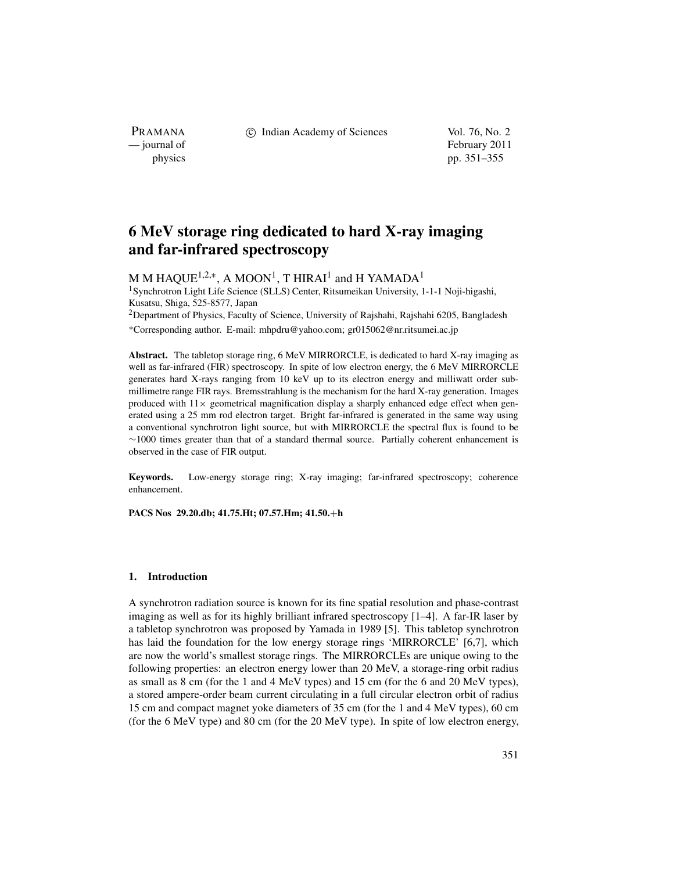c Indian Academy of Sciences Vol. 76, No. 2

PRAMANA<br>
— journal of

February 2011 physics pp. 351–355

# **6 MeV storage ring dedicated to hard X-ray imaging and far-infrared spectroscopy**

M M HAQUE<sup>1,2,\*</sup>, A MOON<sup>1</sup>, T HIRAI<sup>1</sup> and H YAMADA<sup>1</sup> 1Synchrotron Light Life Science (SLLS) Center, Ritsumeikan University, 1-1-1 Noji-higashi, Kusatsu, Shiga, 525-8577, Japan <sup>2</sup>Department of Physics, Faculty of Science, University of Rajshahi, Rajshahi 6205, Bangladesh

\*Corresponding author. E-mail: mhpdru@yahoo.com; gr015062@nr.ritsumei.ac.jp

**Abstract.** The tabletop storage ring, 6 MeV MIRRORCLE, is dedicated to hard X-ray imaging as well as far-infrared (FIR) spectroscopy. In spite of low electron energy, the 6 MeV MIRRORCLE generates hard X-rays ranging from 10 keV up to its electron energy and milliwatt order submillimetre range FIR rays. Bremsstrahlung is the mechanism for the hard X-ray generation. Images produced with  $11\times$  geometrical magnification display a sharply enhanced edge effect when generated using a 25 mm rod electron target. Bright far-infrared is generated in the same way using a conventional synchrotron light source, but with MIRRORCLE the spectral flux is found to be ∼1000 times greater than that of a standard thermal source. Partially coherent enhancement is observed in the case of FIR output.

**Keywords.** Low-energy storage ring; X-ray imaging; far-infrared spectroscopy; coherence enhancement.

**PACS Nos 29.20.db; 41.75.Ht; 07.57.Hm; 41.50.**+**h**

#### **1. Introduction**

A synchrotron radiation source is known for its fine spatial resolution and phase-contrast imaging as well as for its highly brilliant infrared spectroscopy [1–4]. A far-IR laser by a tabletop synchrotron was proposed by Yamada in 1989 [5]. This tabletop synchrotron has laid the foundation for the low energy storage rings 'MIRRORCLE' [6,7], which are now the world's smallest storage rings. The MIRRORCLEs are unique owing to the following properties: an electron energy lower than 20 MeV, a storage-ring orbit radius as small as 8 cm (for the 1 and 4 MeV types) and 15 cm (for the 6 and 20 MeV types), a stored ampere-order beam current circulating in a full circular electron orbit of radius 15 cm and compact magnet yoke diameters of 35 cm (for the 1 and 4 MeV types), 60 cm (for the 6 MeV type) and 80 cm (for the 20 MeV type). In spite of low electron energy,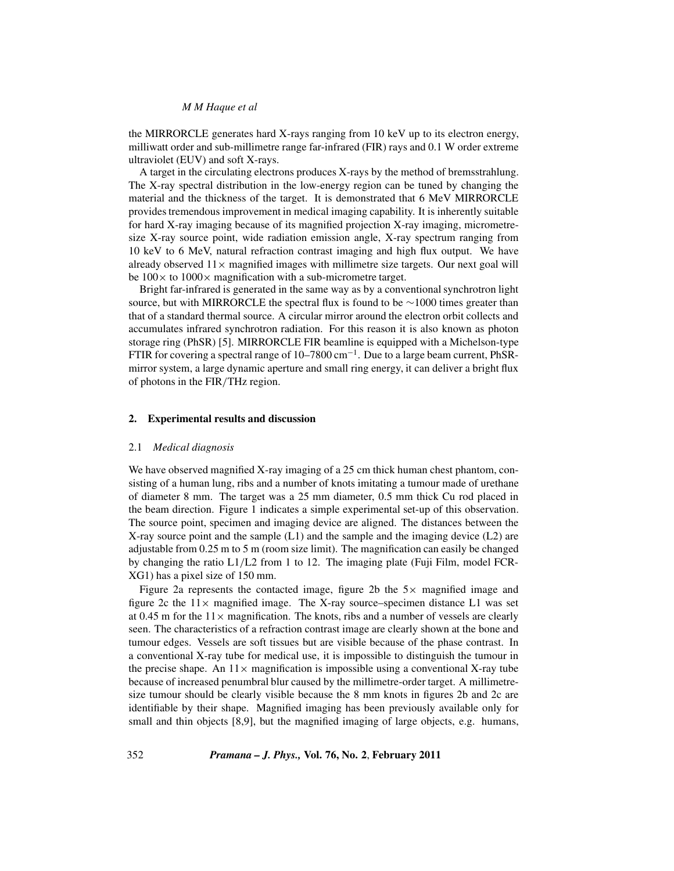# *M M Haque et al*

the MIRRORCLE generates hard X-rays ranging from 10 keV up to its electron energy, milliwatt order and sub-millimetre range far-infrared (FIR) rays and 0.1 W order extreme ultraviolet (EUV) and soft X-rays.

A target in the circulating electrons produces X-rays by the method of bremsstrahlung. The X-ray spectral distribution in the low-energy region can be tuned by changing the material and the thickness of the target. It is demonstrated that 6 MeV MIRRORCLE provides tremendous improvement in medical imaging capability. It is inherently suitable for hard X-ray imaging because of its magnified projection X-ray imaging, micrometresize X-ray source point, wide radiation emission angle, X-ray spectrum ranging from 10 keV to 6 MeV, natural refraction contrast imaging and high flux output. We have already observed  $11\times$  magnified images with millimetre size targets. Our next goal will be  $100 \times$  to  $1000 \times$  magnification with a sub-micrometre target.

Bright far-infrared is generated in the same way as by a conventional synchrotron light source, but with MIRRORCLE the spectral flux is found to be ∼1000 times greater than that of a standard thermal source. A circular mirror around the electron orbit collects and accumulates infrared synchrotron radiation. For this reason it is also known as photon storage ring (PhSR) [5]. MIRRORCLE FIR beamline is equipped with a Michelson-type FTIR for covering a spectral range of 10–7800 cm−1. Due to a large beam current, PhSRmirror system, a large dynamic aperture and small ring energy, it can deliver a bright flux of photons in the FIR*/*THz region.

### **2. Experimental results and discussion**

### 2.1 *Medical diagnosis*

We have observed magnified X-ray imaging of a 25 cm thick human chest phantom, consisting of a human lung, ribs and a number of knots imitating a tumour made of urethane of diameter 8 mm. The target was a 25 mm diameter, 0.5 mm thick Cu rod placed in the beam direction. Figure 1 indicates a simple experimental set-up of this observation. The source point, specimen and imaging device are aligned. The distances between the X-ray source point and the sample  $(L1)$  and the sample and the imaging device  $(L2)$  are adjustable from 0.25 m to 5 m (room size limit). The magnification can easily be changed by changing the ratio L1*/*L2 from 1 to 12. The imaging plate (Fuji Film, model FCR-XG1) has a pixel size of 150 mm.

Figure 2a represents the contacted image, figure 2b the  $5\times$  magnified image and figure 2c the  $11 \times$  magnified image. The X-ray source–specimen distance L1 was set at 0.45 m for the  $11 \times$  magnification. The knots, ribs and a number of vessels are clearly seen. The characteristics of a refraction contrast image are clearly shown at the bone and tumour edges. Vessels are soft tissues but are visible because of the phase contrast. In a conventional X-ray tube for medical use, it is impossible to distinguish the tumour in the precise shape. An  $11 \times$  magnification is impossible using a conventional X-ray tube because of increased penumbral blur caused by the millimetre-order target. A millimetresize tumour should be clearly visible because the 8 mm knots in figures 2b and 2c are identifiable by their shape. Magnified imaging has been previously available only for small and thin objects [8,9], but the magnified imaging of large objects, e.g. humans,

352 *Pramana – J. Phys.,* **Vol. 76, No. 2**, **February 2011**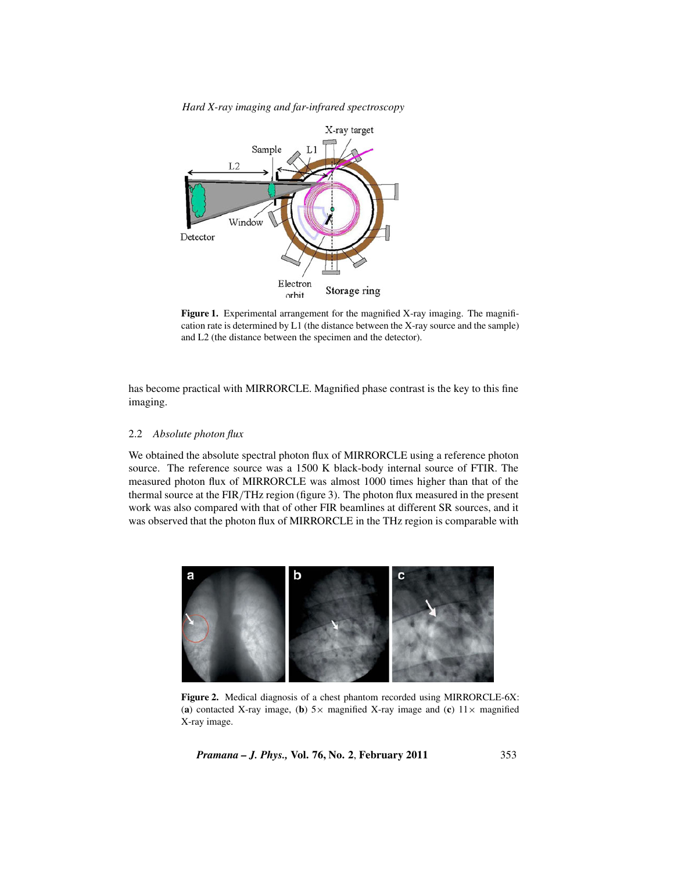*Hard X-ray imaging and far-infrared spectroscopy*



Figure 1. Experimental arrangement for the magnified X-ray imaging. The magnification rate is determined by L1 (the distance between the X-ray source and the sample) and L2 (the distance between the specimen and the detector).

has become practical with MIRRORCLE. Magnified phase contrast is the key to this fine imaging.

# 2.2 *Absolute photon flux*

We obtained the absolute spectral photon flux of MIRRORCLE using a reference photon source. The reference source was a 1500 K black-body internal source of FTIR. The measured photon flux of MIRRORCLE was almost 1000 times higher than that of the thermal source at the FIR*/*THz region (figure 3). The photon flux measured in the present work was also compared with that of other FIR beamlines at different SR sources, and it was observed that the photon flux of MIRRORCLE in the THz region is comparable with



**Figure 2.** Medical diagnosis of a chest phantom recorded using MIRRORCLE-6X: (**a**) contacted X-ray image, (**b**)  $5 \times$  magnified X-ray image and (**c**)  $11 \times$  magnified X-ray image.

*Pramana – J. Phys.,* **Vol. 76, No. 2**, **February 2011** 353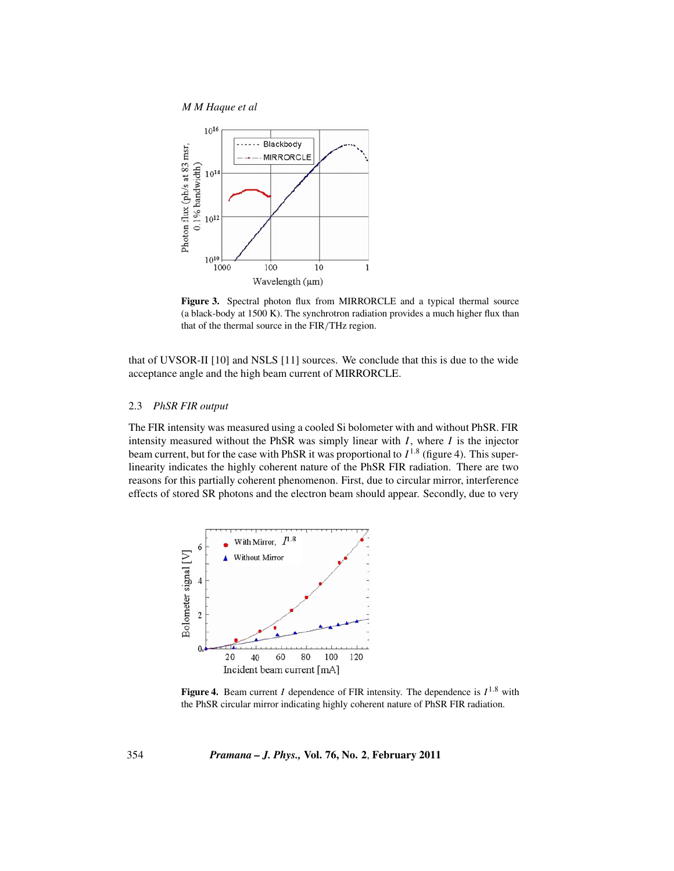*M M Haque et al*



Figure 3. Spectral photon flux from MIRRORCLE and a typical thermal source (a black-body at 1500 K). The synchrotron radiation provides a much higher flux than that of the thermal source in the FIR*/*THz region.

that of UVSOR-II [10] and NSLS [11] sources. We conclude that this is due to the wide acceptance angle and the high beam current of MIRRORCLE.

# 2.3 *PhSR FIR output*

The FIR intensity was measured using a cooled Si bolometer with and without PhSR. FIR intensity measured without the PhSR was simply linear with *I*, where *I* is the injector beam current, but for the case with PhSR it was proportional to  $I^{1.8}$  (figure 4). This superlinearity indicates the highly coherent nature of the PhSR FIR radiation. There are two reasons for this partially coherent phenomenon. First, due to circular mirror, interference effects of stored SR photons and the electron beam should appear. Secondly, due to very



**Figure 4.** Beam current *I* dependence of FIR intensity. The dependence is  $I^{1.8}$  with the PhSR circular mirror indicating highly coherent nature of PhSR FIR radiation.

354 *Pramana – J. Phys.,* **Vol. 76, No. 2**, **February 2011**